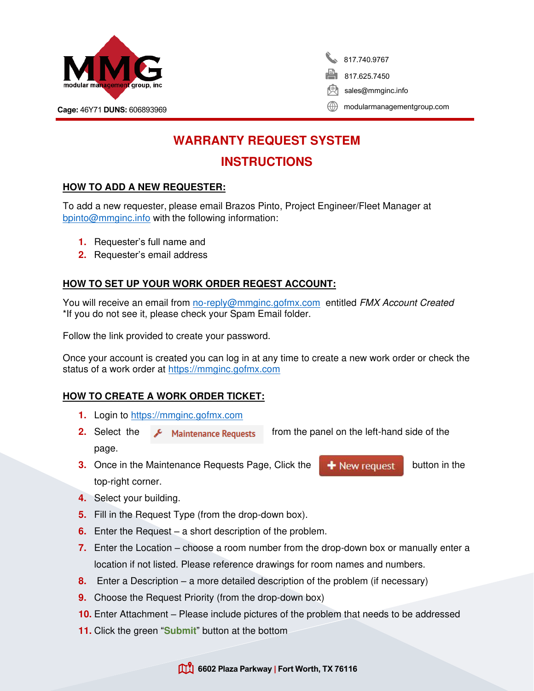

817.740.9767 817.625.7450 sales@mmginc.info

Cage: 46Y71 DUNS: 606893969 [modularmanagementgroup.com](http://www.modularmanagementgroup.com/)

# **WARRANTY REQUEST SYSTEM**

## **INSTRUCTIONS**

## **HOW TO ADD A NEW REQUESTER:**

To add a new requester, please email Brazos Pinto, Project Engineer/Fleet Manager at [bpinto@mmginc.info](mailto:bpinto@mmginc.info) with the following information:

- **1.** Requester's full name and
- **2.** Requester's email address

## **HOW TO SET UP YOUR WORK ORDER REQEST ACCOUNT:**

You will receive an email from [no-reply@mmginc.gofmx.com](mailto:no-reply@mmginc.gofmx.com) entitled FMX Account Created \*If you do not see it, please check your Spam Email folder.

Follow the link provided to create your password.

Once your account is created you can log in at any time to create a new work order or check the status of a work order at [https://mmginc.gofmx.com](https://mmginc.gofmx.com/)

### **HOW TO CREATE A WORK ORDER TICKET:**

- **1.** Login to [https://mmginc.gofmx.com](https://mmginc.gofmx.com/)
- **2.** Select the **F** Maintenance Requests from the panel on the left-hand side of the page.
- **3.** Once in the Maintenance Requests Page, Click the **button in the button in the** top-right corner.
- 

- **4.** Select your building.
- **5.** Fill in the Request Type (from the drop-down box).
- **6.** Enter the Request a short description of the problem.
- **7.** Enter the Location choose a room number from the drop-down box or manually enter a location if not listed. Please reference drawings for room names and numbers.
- **8.** Enter a Description a more detailed description of the problem (if necessary)
- **9.** Choose the Request Priority (from the drop-down box)
- **10.** Enter Attachment Please include pictures of the problem that needs to be addressed
- **11.** Click the green "**Submit**" button at the bottom